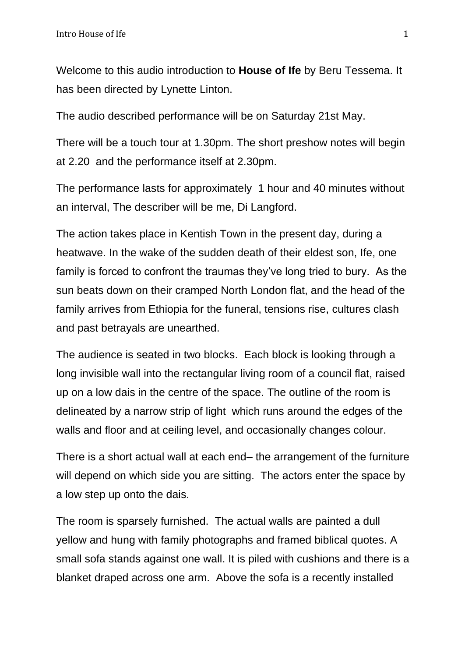Welcome to this audio introduction to **House of Ife** by Beru Tessema. It has been directed by Lynette Linton.

The audio described performance will be on Saturday 21st May.

There will be a touch tour at 1.30pm. The short preshow notes will begin at 2.20 and the performance itself at 2.30pm.

The performance lasts for approximately 1 hour and 40 minutes without an interval, The describer will be me, Di Langford.

The action takes place in Kentish Town in the present day, during a heatwave. In the wake of the sudden death of their eldest son, Ife, one family is forced to confront the traumas they've long tried to bury. As the sun beats down on their cramped North London flat, and the head of the family arrives from Ethiopia for the funeral, tensions rise, cultures clash and past betrayals are unearthed.

The audience is seated in two blocks. Each block is looking through a long invisible wall into the rectangular living room of a council flat, raised up on a low dais in the centre of the space. The outline of the room is delineated by a narrow strip of light which runs around the edges of the walls and floor and at ceiling level, and occasionally changes colour.

There is a short actual wall at each end– the arrangement of the furniture will depend on which side you are sitting. The actors enter the space by a low step up onto the dais.

The room is sparsely furnished. The actual walls are painted a dull yellow and hung with family photographs and framed biblical quotes. A small sofa stands against one wall. It is piled with cushions and there is a blanket draped across one arm. Above the sofa is a recently installed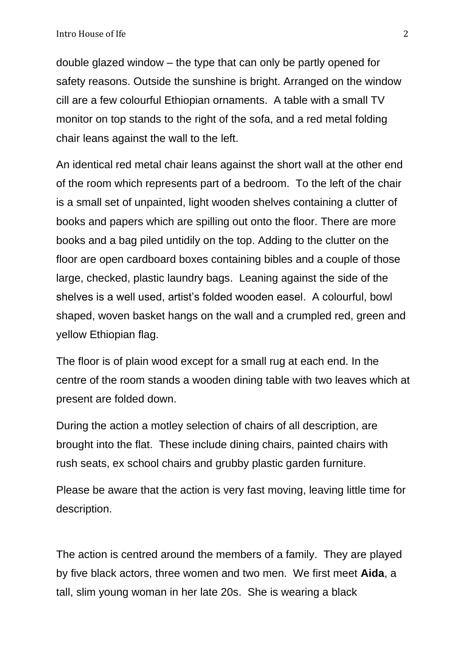double glazed window – the type that can only be partly opened for safety reasons. Outside the sunshine is bright. Arranged on the window cill are a few colourful Ethiopian ornaments. A table with a small TV monitor on top stands to the right of the sofa, and a red metal folding chair leans against the wall to the left.

An identical red metal chair leans against the short wall at the other end of the room which represents part of a bedroom. To the left of the chair is a small set of unpainted, light wooden shelves containing a clutter of books and papers which are spilling out onto the floor. There are more books and a bag piled untidily on the top. Adding to the clutter on the floor are open cardboard boxes containing bibles and a couple of those large, checked, plastic laundry bags. Leaning against the side of the shelves is a well used, artist's folded wooden easel. A colourful, bowl shaped, woven basket hangs on the wall and a crumpled red, green and yellow Ethiopian flag.

The floor is of plain wood except for a small rug at each end. In the centre of the room stands a wooden dining table with two leaves which at present are folded down.

During the action a motley selection of chairs of all description, are brought into the flat. These include dining chairs, painted chairs with rush seats, ex school chairs and grubby plastic garden furniture.

Please be aware that the action is very fast moving, leaving little time for description.

The action is centred around the members of a family. They are played by five black actors, three women and two men. We first meet **Aida**, a tall, slim young woman in her late 20s. She is wearing a black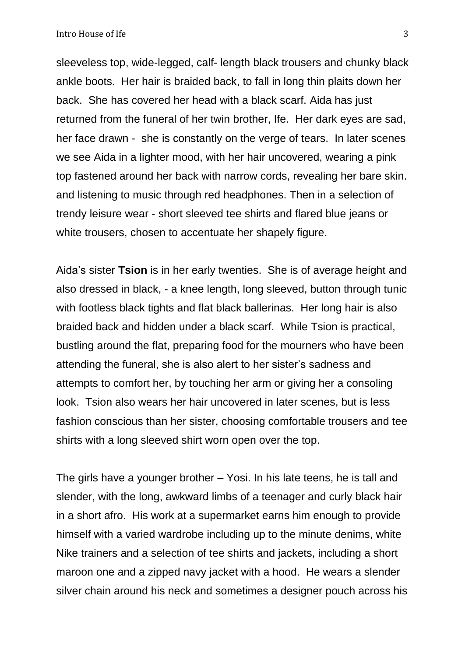sleeveless top, wide-legged, calf- length black trousers and chunky black ankle boots. Her hair is braided back, to fall in long thin plaits down her back. She has covered her head with a black scarf. Aida has just returned from the funeral of her twin brother, Ife. Her dark eyes are sad, her face drawn - she is constantly on the verge of tears. In later scenes we see Aida in a lighter mood, with her hair uncovered, wearing a pink top fastened around her back with narrow cords, revealing her bare skin. and listening to music through red headphones. Then in a selection of trendy leisure wear - short sleeved tee shirts and flared blue jeans or white trousers, chosen to accentuate her shapely figure.

Aida's sister **Tsion** is in her early twenties. She is of average height and also dressed in black, - a knee length, long sleeved, button through tunic with footless black tights and flat black ballerinas. Her long hair is also braided back and hidden under a black scarf. While Tsion is practical, bustling around the flat, preparing food for the mourners who have been attending the funeral, she is also alert to her sister's sadness and attempts to comfort her, by touching her arm or giving her a consoling look. Tsion also wears her hair uncovered in later scenes, but is less fashion conscious than her sister, choosing comfortable trousers and tee shirts with a long sleeved shirt worn open over the top.

The girls have a younger brother – Yosi. In his late teens, he is tall and slender, with the long, awkward limbs of a teenager and curly black hair in a short afro. His work at a supermarket earns him enough to provide himself with a varied wardrobe including up to the minute denims, white Nike trainers and a selection of tee shirts and jackets, including a short maroon one and a zipped navy jacket with a hood. He wears a slender silver chain around his neck and sometimes a designer pouch across his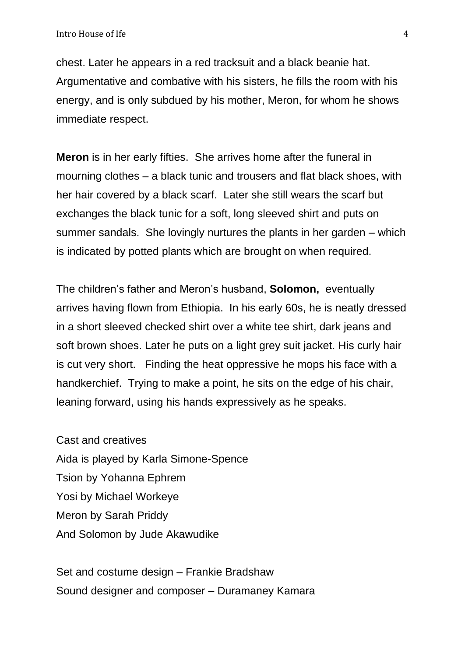chest. Later he appears in a red tracksuit and a black beanie hat. Argumentative and combative with his sisters, he fills the room with his energy, and is only subdued by his mother, Meron, for whom he shows immediate respect.

**Meron** is in her early fifties. She arrives home after the funeral in mourning clothes – a black tunic and trousers and flat black shoes, with her hair covered by a black scarf. Later she still wears the scarf but exchanges the black tunic for a soft, long sleeved shirt and puts on summer sandals. She lovingly nurtures the plants in her garden – which is indicated by potted plants which are brought on when required.

The children's father and Meron's husband, **Solomon,** eventually arrives having flown from Ethiopia. In his early 60s, he is neatly dressed in a short sleeved checked shirt over a white tee shirt, dark jeans and soft brown shoes. Later he puts on a light grey suit jacket. His curly hair is cut very short. Finding the heat oppressive he mops his face with a handkerchief. Trying to make a point, he sits on the edge of his chair, leaning forward, using his hands expressively as he speaks.

Cast and creatives Aida is played by Karla Simone-Spence Tsion by Yohanna Ephrem Yosi by Michael Workeye Meron by Sarah Priddy And Solomon by Jude Akawudike

Set and costume design – Frankie Bradshaw Sound designer and composer – Duramaney Kamara